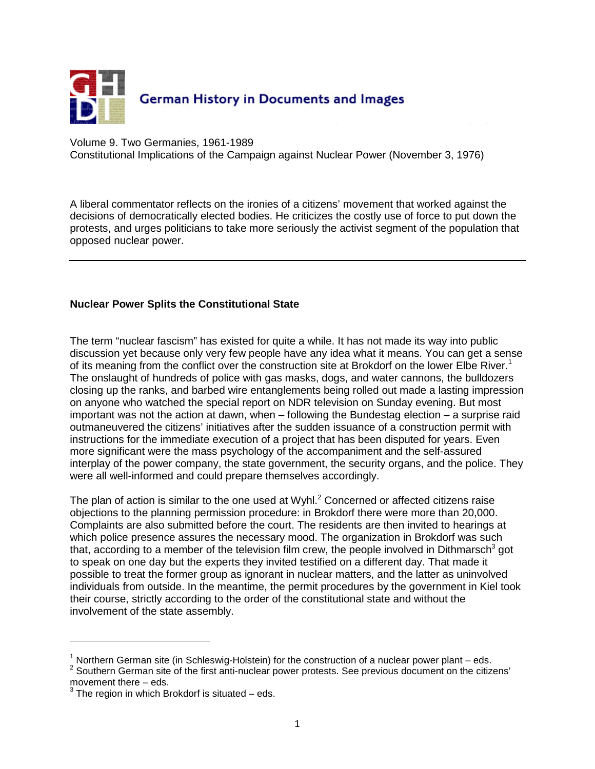

Volume 9. Two Germanies, 1961-1989

Constitutional Implications of the Campaign against Nuclear Power (November 3, 1976)

A liberal commentator reflects on the ironies of a citizens' movement that worked against the decisions of democratically elected bodies. He criticizes the costly use of force to put down the protests, and urges politicians to take more seriously the activist segment of the population that opposed nuclear power.

## **Nuclear Power Splits the Constitutional State**

The term "nuclear fascism" has existed for quite a while. It has not made its way into public discussion yet because only very few people have any idea what it means. You can get a sense of its meaning from the conflict over the construction site at Brokdorf on the lower Elbe River.<sup>1</sup> The onslaught of hundreds of police with gas masks, dogs, and water cannons, the bulldozers closing up the ranks, and barbed wire entanglements being rolled out made a lasting impression on anyone who watched the special report on NDR television on Sunday evening. But most important was not the action at dawn, when – following the Bundestag election – a surprise raid outmaneuvered the citizens' initiatives after the sudden issuance of a construction permit with instructions for the immediate execution of a project that has been disputed for years. Even more significant were the mass psychology of the accompaniment and the self-assured interplay of the power company, the state government, the security organs, and the police. They were all well-informed and could prepare themselves accordingly.

The plan of action is similar to the one used at Wyhl. $^2$  Concerned or affected citizens raise objections to the planning permission procedure: in Brokdorf there were more than 20,000. Complaints are also submitted before the court. The residents are then invited to hearings at which police presence assures the necessary mood. The organization in Brokdorf was such that, according to a member of the television film crew, the people involved in Dithmarsch<sup>3</sup> got to speak on one day but the experts they invited testified on a different day. That made it possible to treat the former group as ignorant in nuclear matters, and the latter as uninvolved individuals from outside. In the meantime, the permit procedures by the government in Kiel took their course, strictly according to the order of the constitutional state and without the involvement of the state assembly.

 $\overline{a}$ 

<sup>&</sup>lt;sup>1</sup> Northern German site (in Schleswig-Holstein) for the construction of a nuclear power plant  $-$  eds.

 $2$  Southern German site of the first anti-nuclear power protests. See previous document on the citizens'

movement there – eds.<br><sup>3</sup> The region in which Brokdorf is situated – eds.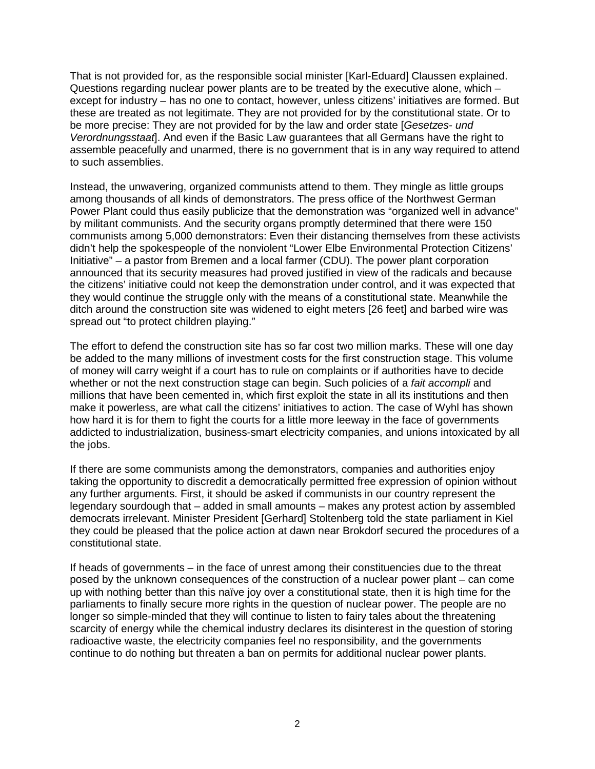That is not provided for, as the responsible social minister [Karl-Eduard] Claussen explained. Questions regarding nuclear power plants are to be treated by the executive alone, which – except for industry – has no one to contact, however, unless citizens' initiatives are formed. But these are treated as not legitimate. They are not provided for by the constitutional state. Or to be more precise: They are not provided for by the law and order state [Gesetzes- und Verordnungsstaat. And even if the Basic Law guarantees that all Germans have the right to assemble peacefully and unarmed, there is no government that is in any way required to attend to such assemblies.

Instead, the unwavering, organized communists attend to them. They mingle as little groups among thousands of all kinds of demonstrators. The press office of the Northwest German Power Plant could thus easily publicize that the demonstration was "organized well in advance" by militant communists. And the security organs promptly determined that there were 150 communists among 5,000 demonstrators: Even their distancing themselves from these activists didn't help the spokespeople of the nonviolent "Lower Elbe Environmental Protection Citizens' Initiative" – a pastor from Bremen and a local farmer (CDU). The power plant corporation announced that its security measures had proved justified in view of the radicals and because the citizens' initiative could not keep the demonstration under control, and it was expected that they would continue the struggle only with the means of a constitutional state. Meanwhile the ditch around the construction site was widened to eight meters [26 feet] and barbed wire was spread out "to protect children playing."

The effort to defend the construction site has so far cost two million marks. These will one day be added to the many millions of investment costs for the first construction stage. This volume of money will carry weight if a court has to rule on complaints or if authorities have to decide whether or not the next construction stage can begin. Such policies of a fait accompli and millions that have been cemented in, which first exploit the state in all its institutions and then make it powerless, are what call the citizens' initiatives to action. The case of Wyhl has shown how hard it is for them to fight the courts for a little more leeway in the face of governments addicted to industrialization, business-smart electricity companies, and unions intoxicated by all the jobs.

If there are some communists among the demonstrators, companies and authorities enjoy taking the opportunity to discredit a democratically permitted free expression of opinion without any further arguments. First, it should be asked if communists in our country represent the legendary sourdough that – added in small amounts – makes any protest action by assembled democrats irrelevant. Minister President [Gerhard] Stoltenberg told the state parliament in Kiel they could be pleased that the police action at dawn near Brokdorf secured the procedures of a constitutional state.

If heads of governments – in the face of unrest among their constituencies due to the threat posed by the unknown consequences of the construction of a nuclear power plant – can come up with nothing better than this naïve joy over a constitutional state, then it is high time for the parliaments to finally secure more rights in the question of nuclear power. The people are no longer so simple-minded that they will continue to listen to fairy tales about the threatening scarcity of energy while the chemical industry declares its disinterest in the question of storing radioactive waste, the electricity companies feel no responsibility, and the governments continue to do nothing but threaten a ban on permits for additional nuclear power plants.